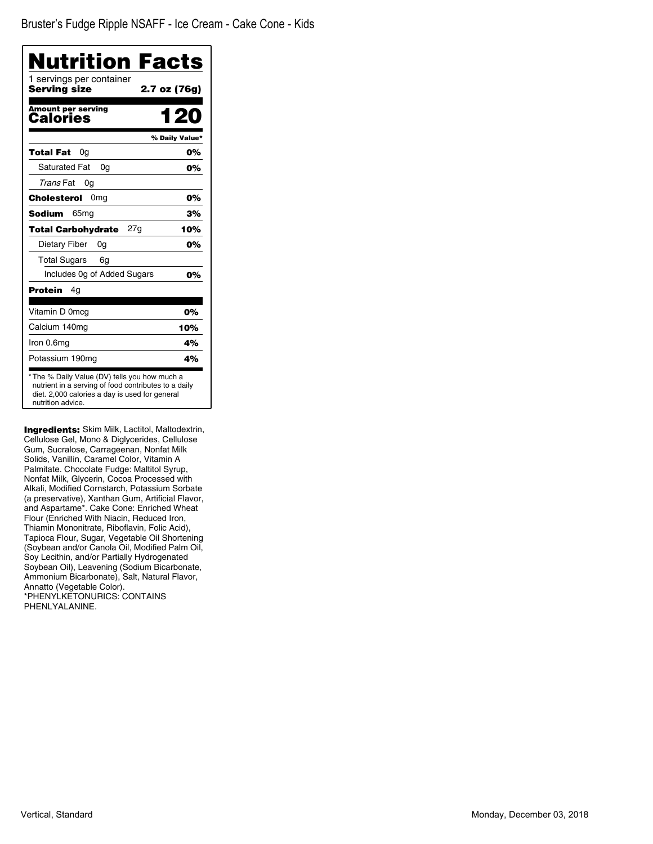| Nutrition Facts                                                                                                                                                              |                |
|------------------------------------------------------------------------------------------------------------------------------------------------------------------------------|----------------|
| 1 servings per container<br><b>Serving size</b>                                                                                                                              | 2.7 oz (76g)   |
| <b>Amount per serving</b><br>Calories                                                                                                                                        | 1 20           |
|                                                                                                                                                                              | % Daily Value* |
| Total Fat<br>0a                                                                                                                                                              | 0%             |
| Saturated Fat<br>0a                                                                                                                                                          | 0%             |
| Trans Fat<br>0g                                                                                                                                                              |                |
| Cholesterol<br>0 <sub>mg</sub>                                                                                                                                               | 0%             |
| <b>Sodium</b><br>65 <sub>mq</sub>                                                                                                                                            | 3%             |
| 27g<br><b>Total Carbohydrate</b>                                                                                                                                             | 10%            |
| Dietary Fiber<br>0a                                                                                                                                                          | 0%             |
| <b>Total Sugars</b><br>6g                                                                                                                                                    |                |
| Includes 0g of Added Sugars                                                                                                                                                  | 0%             |
| Protein<br>4g                                                                                                                                                                |                |
| Vitamin D 0mcg                                                                                                                                                               | 0%             |
| Calcium 140mg                                                                                                                                                                | 10%            |
| Iron 0.6mg                                                                                                                                                                   | 4%             |
| Potassium 190mg                                                                                                                                                              | 4%             |
| * The % Daily Value (DV) tells you how much a<br>nutrient in a serving of food contributes to a daily<br>diet. 2,000 calories a day is used for general<br>nutrition advice. |                |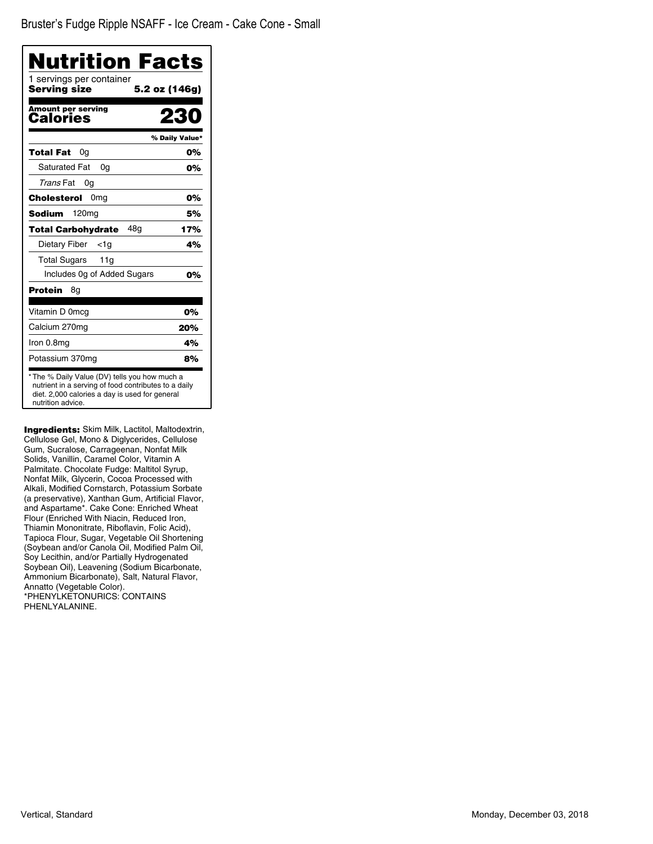| <b>Nutrition Facts</b><br>1 servings per container |                |
|----------------------------------------------------|----------------|
| Serving size                                       | 5.2 oz (146g)  |
| <b>Amount per serving</b><br>Calories              | 23             |
|                                                    | % Daily Value* |
| Total Fat<br>0a                                    | 0%             |
| <b>Saturated Fat</b><br>0a                         | 0%             |
| Trans Fat<br>0g                                    |                |
| Cholesterol<br>0 <sub>mg</sub>                     | 0%             |
| <b>Sodium</b><br>120 <sub>mg</sub>                 | 5%             |
| 48q<br><b>Total Carbohydrate</b>                   | 17%            |
| Dietary Fiber<br>$<$ 1g                            | 4%             |
| Total Sugars<br>11g                                |                |
| Includes Og of Added Sugars                        | 0%             |
| Protein<br>8g                                      |                |
| Vitamin D 0mcg                                     | 0%             |
| Calcium 270mg                                      | 20%            |
| Iron 0.8mg                                         | 4%             |
| Potassium 370mg                                    | 8%             |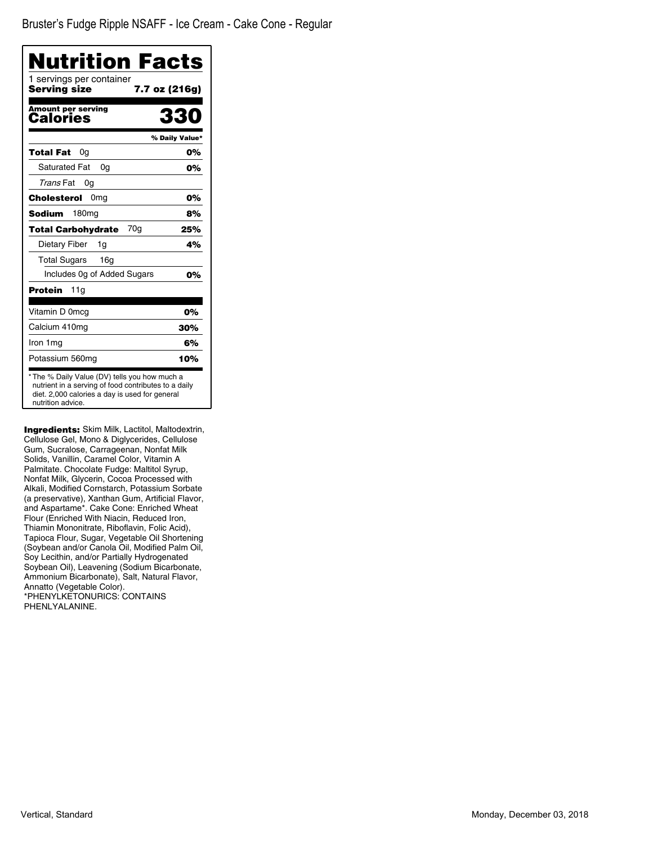| Nutrition Facts                                                                                                                                                              |                |
|------------------------------------------------------------------------------------------------------------------------------------------------------------------------------|----------------|
| 1 servings per container<br>Serving size<br>7.7 oz (216g)                                                                                                                    |                |
| <b>Amount per serving</b><br>Calories                                                                                                                                        | 330            |
|                                                                                                                                                                              | % Daily Value* |
| Total Fat<br>0a                                                                                                                                                              | 0%             |
| <b>Saturated Fat</b><br>0a                                                                                                                                                   | 0%             |
| Trans Fat<br>0a                                                                                                                                                              |                |
| 0 <sub>mg</sub><br>Cholesterol                                                                                                                                               | 0%             |
| Sodium<br>180 <sub>mg</sub>                                                                                                                                                  | 8%             |
| 70g<br><b>Total Carbohydrate</b>                                                                                                                                             | 25%            |
| Dietary Fiber<br>1g                                                                                                                                                          | 4%             |
| <b>Total Sugars</b><br>16g                                                                                                                                                   |                |
| Includes Og of Added Sugars                                                                                                                                                  | 0%             |
| Protein<br>11g                                                                                                                                                               |                |
| Vitamin D 0mcg                                                                                                                                                               | 0%             |
| Calcium 410mg                                                                                                                                                                | 30%            |
| Iron 1 mg                                                                                                                                                                    | 6%             |
| Potassium 560mg                                                                                                                                                              | 10%            |
| * The % Daily Value (DV) tells you how much a<br>nutrient in a serving of food contributes to a daily<br>diet. 2,000 calories a day is used for general<br>nutrition advice. |                |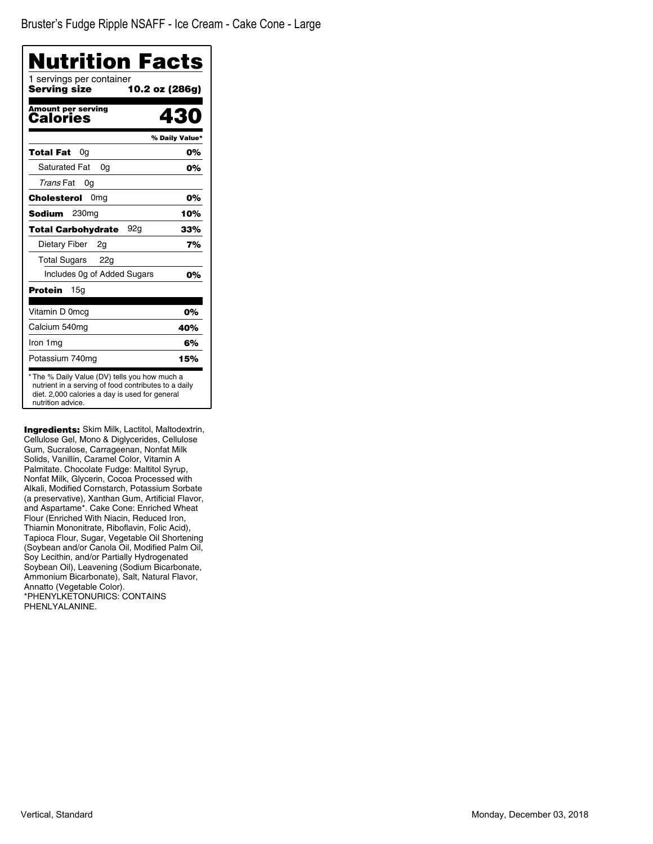| <b>Nutrition Facts</b>                                                                                                                                                       |                |
|------------------------------------------------------------------------------------------------------------------------------------------------------------------------------|----------------|
| 1 servings per container<br>Serving size<br>10.2 oz (286g)                                                                                                                   |                |
| <b>Amount per serving</b><br>Calories                                                                                                                                        | 430            |
|                                                                                                                                                                              | % Daily Value* |
| Total Fat<br>0a                                                                                                                                                              | 0%             |
| <b>Saturated Fat</b><br>0a                                                                                                                                                   | 0%             |
| Trans Fat<br>0g                                                                                                                                                              |                |
| Cholesterol<br>0 <sub>mg</sub>                                                                                                                                               | 0%             |
| 230 <sub>mg</sub><br>Sodium                                                                                                                                                  | 10%            |
| <b>Total Carbohydrate</b><br>92a                                                                                                                                             | 33%            |
| Dietary Fiber<br>2g                                                                                                                                                          | 7%             |
| <b>Total Sugars</b><br>22g                                                                                                                                                   |                |
| Includes Og of Added Sugars                                                                                                                                                  | 0%             |
| <b>Protein</b><br>15a                                                                                                                                                        |                |
| Vitamin D 0mcg                                                                                                                                                               | 0%             |
| Calcium 540mg                                                                                                                                                                | 40%            |
| Iron 1 mg                                                                                                                                                                    | 6%             |
| Potassium 740mg                                                                                                                                                              | 15%            |
| * The % Daily Value (DV) tells you how much a<br>nutrient in a serving of food contributes to a daily<br>diet. 2,000 calories a day is used for general<br>nutrition advice. |                |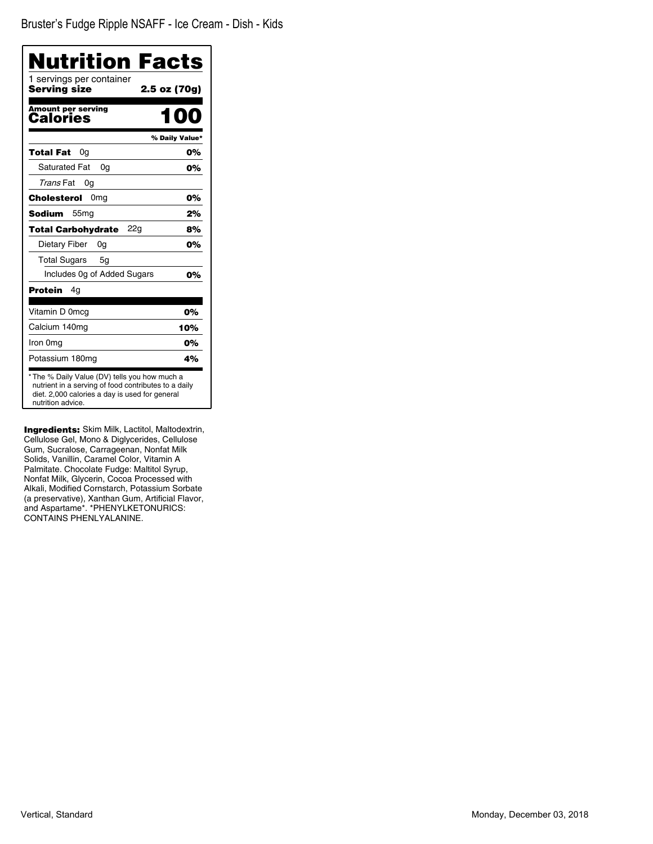Bruster's Fudge Ripple NSAFF - Ice Cream - Dish - Kids

| <b>Nutrition Facts</b>                                                                                                                                                      |                |
|-----------------------------------------------------------------------------------------------------------------------------------------------------------------------------|----------------|
| 1 servings per container<br>Serving size                                                                                                                                    | 2.5 oz (70g)   |
| <b>Amount per serving</b><br>Calories                                                                                                                                       | IOO            |
|                                                                                                                                                                             | % Daily Value* |
| <b>Total Fat</b><br>0a                                                                                                                                                      | 0%             |
| <b>Saturated Fat</b><br>0a                                                                                                                                                  | 0%             |
| Trans Fat<br>0g                                                                                                                                                             |                |
| Cholesterol<br>0 <sub>mg</sub>                                                                                                                                              | 0%             |
| Sodium<br>55 <sub>mg</sub>                                                                                                                                                  | 2%             |
| <b>Total Carbohydrate</b><br>22g                                                                                                                                            | 8%             |
| Dietary Fiber<br>0g                                                                                                                                                         | 0%             |
| <b>Total Sugars</b><br>5g                                                                                                                                                   |                |
| Includes 0g of Added Sugars                                                                                                                                                 | 0%             |
| Protein<br>4g                                                                                                                                                               |                |
| Vitamin D 0mcg                                                                                                                                                              | 0%             |
| Calcium 140mq                                                                                                                                                               | 10%            |
| Iron 0mg                                                                                                                                                                    | 0%             |
| Potassium 180mg                                                                                                                                                             | 4%             |
| * The % Daily Value (DV) tells you how much a<br>nutrient in a serving of food contributes to a daily<br>diet. 2,000 calories a day is used for general<br>nutrition advice |                |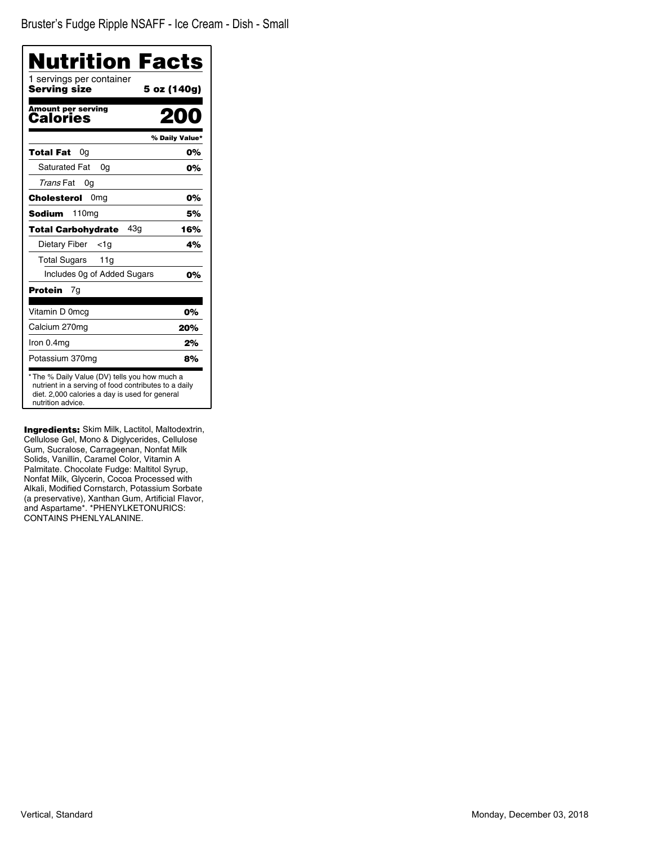Bruster's Fudge Ripple NSAFF - Ice Cream - Dish - Small

| Nutrition Facts                                                                                                                                                              |                |
|------------------------------------------------------------------------------------------------------------------------------------------------------------------------------|----------------|
| 1 servings per container<br><b>Serving size</b>                                                                                                                              | 5 oz (140g)    |
| <b>Amount per serving</b><br>Calories                                                                                                                                        | mo             |
|                                                                                                                                                                              | % Daily Value* |
| Total Fat<br>0g                                                                                                                                                              | 0%             |
| <b>Saturated Fat</b><br>0a                                                                                                                                                   | 0%             |
| Trans Fat<br>0g                                                                                                                                                              |                |
| 0 <sub>mq</sub><br><b>Cholesterol</b>                                                                                                                                        | 0%             |
| <b>Sodium</b><br>110 <sub>mg</sub>                                                                                                                                           | 5%             |
| 43a<br><b>Total Carbohydrate</b>                                                                                                                                             | 16%            |
| Dietary Fiber<br><1a                                                                                                                                                         | 4%             |
| <b>Total Sugars</b><br>11g                                                                                                                                                   |                |
| Includes Og of Added Sugars                                                                                                                                                  | 0%             |
| <b>Protein</b><br>7g                                                                                                                                                         |                |
| Vitamin D 0mcg                                                                                                                                                               | 0%             |
| Calcium 270mg                                                                                                                                                                | 20%            |
| Iron 0.4mg                                                                                                                                                                   | 2%             |
| Potassium 370mg                                                                                                                                                              | 8%             |
| * The % Daily Value (DV) tells you how much a<br>nutrient in a serving of food contributes to a daily<br>diet. 2,000 calories a day is used for general<br>nutrition advice. |                |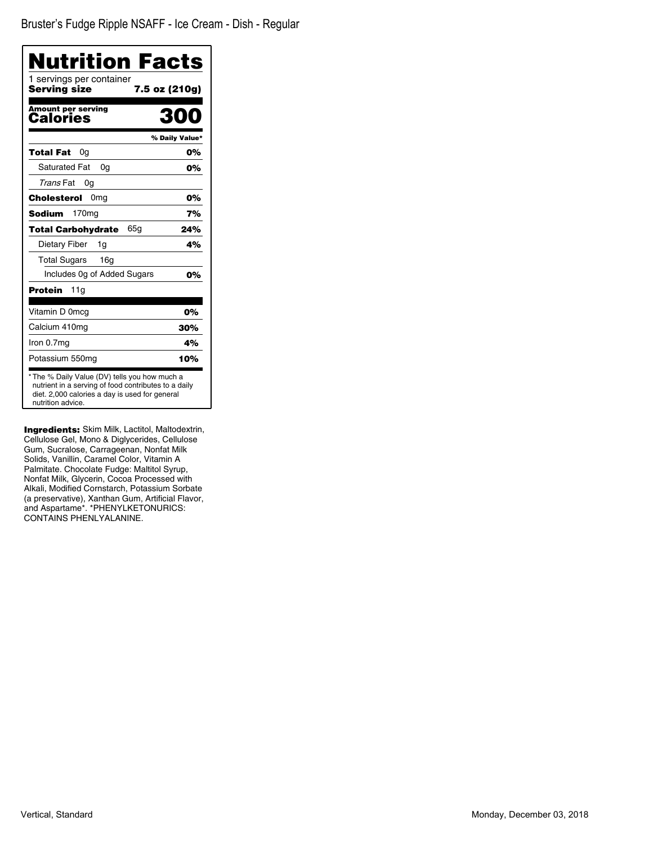Bruster's Fudge Ripple NSAFF - Ice Cream - Dish - Regular

| Nutrition Facts                                                                                                                                                              |                |
|------------------------------------------------------------------------------------------------------------------------------------------------------------------------------|----------------|
| 1 servings per container<br>Servina size<br>7.5 oz (210g)                                                                                                                    |                |
| <b>Amount per serving</b><br>Calories                                                                                                                                        | 300            |
|                                                                                                                                                                              | % Daily Value* |
| Total Fat<br>0g                                                                                                                                                              | 0%             |
| <b>Saturated Fat</b><br>0q                                                                                                                                                   | 0%             |
| Trans Fat<br>0g                                                                                                                                                              |                |
| 0 <sub>mg</sub><br>Cholesterol                                                                                                                                               | 0%             |
| 170 <sub>mg</sub><br>Sodium                                                                                                                                                  | 7%             |
| 65a<br>Total Carbohydrate                                                                                                                                                    | 24%            |
| Dietary Fiber<br>1g                                                                                                                                                          | 4%             |
| <b>Total Sugars</b><br>16 <sub>q</sub>                                                                                                                                       |                |
| Includes 0g of Added Sugars                                                                                                                                                  | 0%             |
| Protein<br>11g                                                                                                                                                               |                |
| Vitamin D 0mcg                                                                                                                                                               | 0%             |
| Calcium 410mg                                                                                                                                                                | 30%            |
| Iron 0.7mg                                                                                                                                                                   | 4%             |
| Potassium 550mg                                                                                                                                                              | 10%            |
| * The % Daily Value (DV) tells you how much a<br>nutrient in a serving of food contributes to a daily<br>diet. 2,000 calories a day is used for general<br>nutrition advice. |                |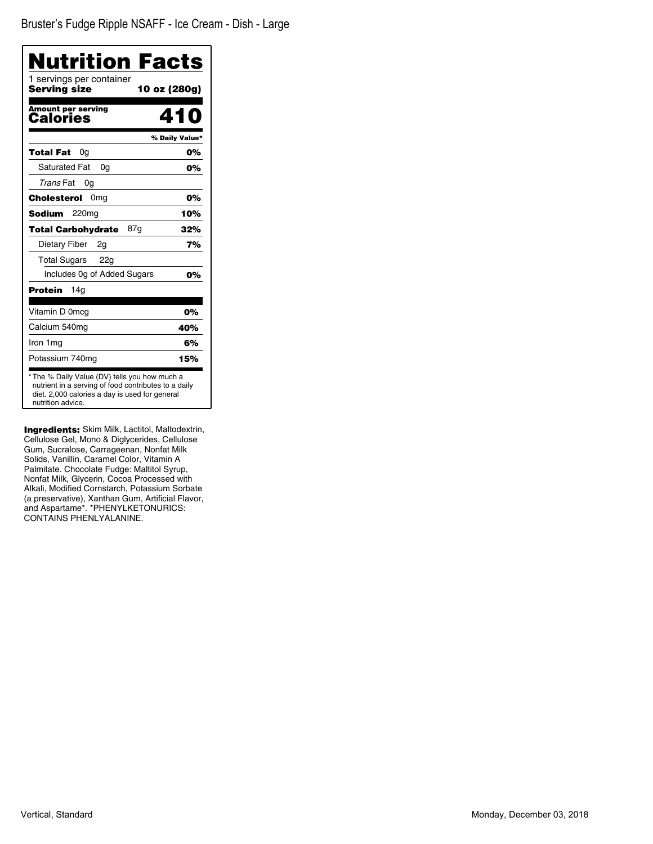Bruster's Fudge Ripple NSAFF - Ice Cream - Dish - Large

| Nutrition Facts                                                                                                                                                              |                |
|------------------------------------------------------------------------------------------------------------------------------------------------------------------------------|----------------|
| 1 servings per container<br>Servina size<br>10 oz (280g)                                                                                                                     |                |
| <b>Amount per serving</b><br>Calories                                                                                                                                        | 410            |
|                                                                                                                                                                              | % Daily Value* |
| Total Fat<br>0g                                                                                                                                                              | 0%             |
| <b>Saturated Fat</b><br>0q                                                                                                                                                   | 0%             |
| Trans Fat<br>0g                                                                                                                                                              |                |
| 0 <sub>mg</sub><br>Cholesterol                                                                                                                                               | 0%             |
| Sodium<br>220mg                                                                                                                                                              | 10%            |
| 87a<br>Total Carbohydrate                                                                                                                                                    | 32%            |
| Dietary Fiber<br>2g                                                                                                                                                          | 7%             |
| Total Sugars 22g                                                                                                                                                             |                |
| Includes Og of Added Sugars                                                                                                                                                  | 0%             |
| Protein<br>14g                                                                                                                                                               |                |
| Vitamin D 0mcg                                                                                                                                                               | 0%             |
| Calcium 540mg                                                                                                                                                                | 40%            |
| Iron 1mg                                                                                                                                                                     | 6%             |
| Potassium 740mg                                                                                                                                                              | 15%            |
| * The % Daily Value (DV) tells you how much a<br>nutrient in a serving of food contributes to a daily<br>diet. 2,000 calories a day is used for general<br>nutrition advice. |                |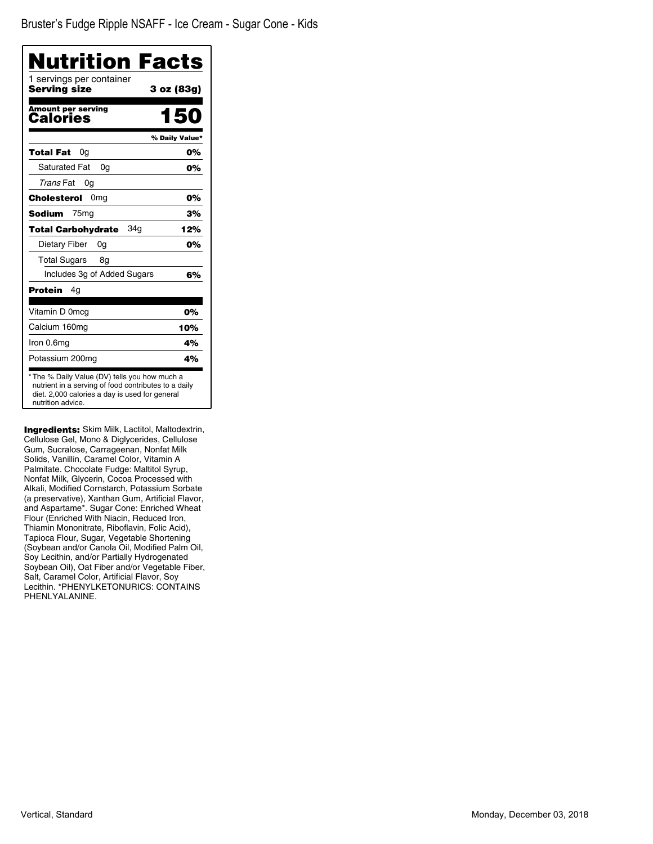| Nutrition Facts                          |                |
|------------------------------------------|----------------|
| 1 servings per container<br>Serving size | 3 oz (83g)     |
| <b>Amount per serving</b><br>Calories    | 150            |
|                                          | % Daily Value* |
| <b>Total Fat</b><br>0g                   | 0%             |
| <b>Saturated Fat</b><br>0a               | 0%             |
| Trans Fat<br>0g                          |                |
| 0 <sub>mq</sub><br>Cholesterol           | 0%             |
| <b>Sodium</b><br>75 <sub>mg</sub>        | 3%             |
| 34a<br><b>Total Carbohydrate</b>         | 12%            |
| Dietary Fiber<br>0g                      | 0%             |
| <b>Total Sugars</b><br>8g                |                |
| Includes 3g of Added Sugars              | 6%             |
| Protein<br>4g                            |                |
| Vitamin D 0mcg                           | 0%             |
| Calcium 160mg                            | 10%            |
| Iron 0.6mg                               | 4%             |
| Potassium 200mg                          | 4%             |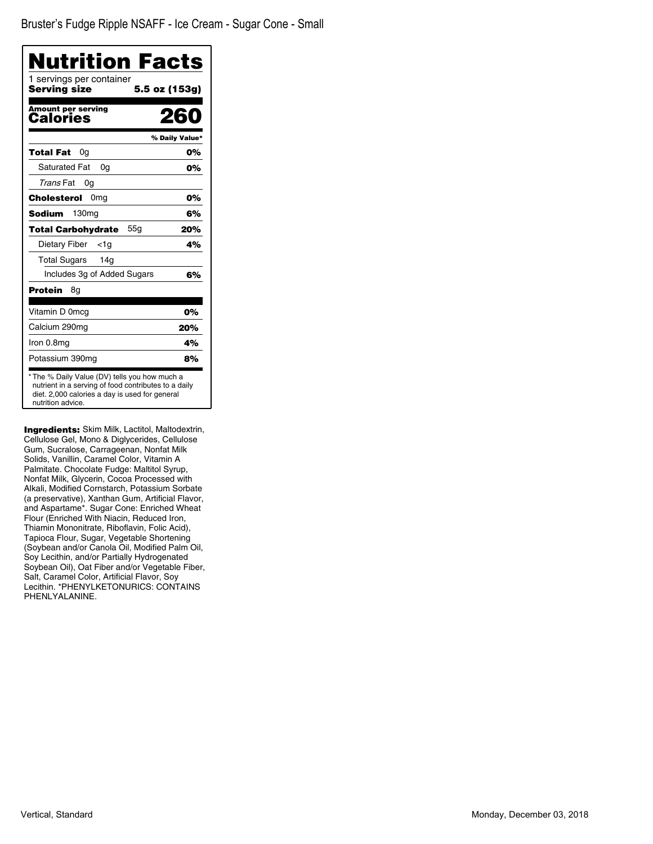| Nutrition Facts                          |                |
|------------------------------------------|----------------|
| 1 servings per container<br>Serving size | 5.5 oz (153g)  |
| <b>Amount per serving</b><br>Calories    | 260            |
|                                          | % Daily Value* |
| Total Fat<br>0g                          | 0%             |
| Saturated Fat<br>0a                      | 0%             |
| Trans Fat<br>0g                          |                |
| 0 <sub>mq</sub><br>Cholesterol           | 0%             |
| <b>Sodium</b><br>130 <sub>mg</sub>       | 6%             |
| 55q<br><b>Total Carbohydrate</b>         | 20%            |
| Dietary Fiber<br>$<$ 1g                  | 4%             |
| Total Sugars<br>14a                      |                |
| Includes 3g of Added Sugars              | 6%             |
| Protein<br>8g                            |                |
| Vitamin D 0mcg                           | 0%             |
| Calcium 290mg                            | 20%            |
| Iron 0.8mg                               | 4%             |
| Potassium 390mg                          | 8%             |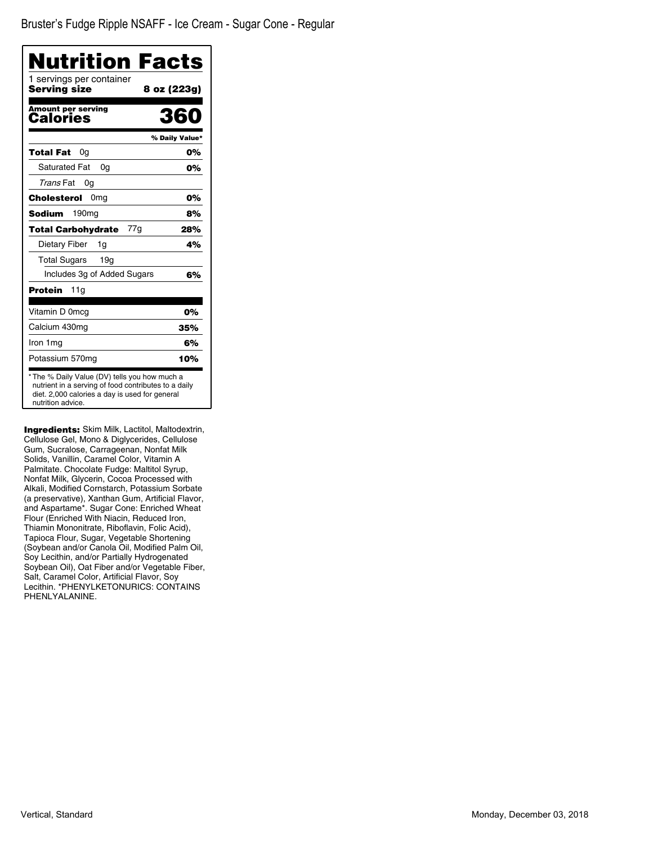| Nutrition Facts                                                                                                                                                              |                |
|------------------------------------------------------------------------------------------------------------------------------------------------------------------------------|----------------|
| 1 servings per container<br>Serving size                                                                                                                                     | 8 oz (223g)    |
| <b>Amount per serving</b><br>Calories                                                                                                                                        | 360            |
|                                                                                                                                                                              | % Daily Value* |
| Total Fat<br>0g                                                                                                                                                              | 0%             |
| <b>Saturated Fat</b><br>0a                                                                                                                                                   | 0%             |
| Trans Fat<br>0g                                                                                                                                                              |                |
| 0 <sub>mg</sub><br>Cholesterol                                                                                                                                               | 0%             |
| <b>Sodium</b><br>190 <sub>mq</sub>                                                                                                                                           | 8%             |
| 77g<br><b>Total Carbohydrate</b>                                                                                                                                             | 28%            |
| Dietary Fiber<br>1g                                                                                                                                                          | 4%             |
| <b>Total Sugars</b><br>19g                                                                                                                                                   |                |
| Includes 3g of Added Sugars                                                                                                                                                  | 6%             |
| <b>Protein</b><br>11g                                                                                                                                                        |                |
| Vitamin D 0mcg                                                                                                                                                               | 0%             |
| Calcium 430mg                                                                                                                                                                | 35%            |
| Iron 1 mg                                                                                                                                                                    | 6%             |
| Potassium 570mg                                                                                                                                                              | 10%            |
| * The % Daily Value (DV) tells you how much a<br>nutrient in a serving of food contributes to a daily<br>diet. 2,000 calories a day is used for general<br>nutrition advice. |                |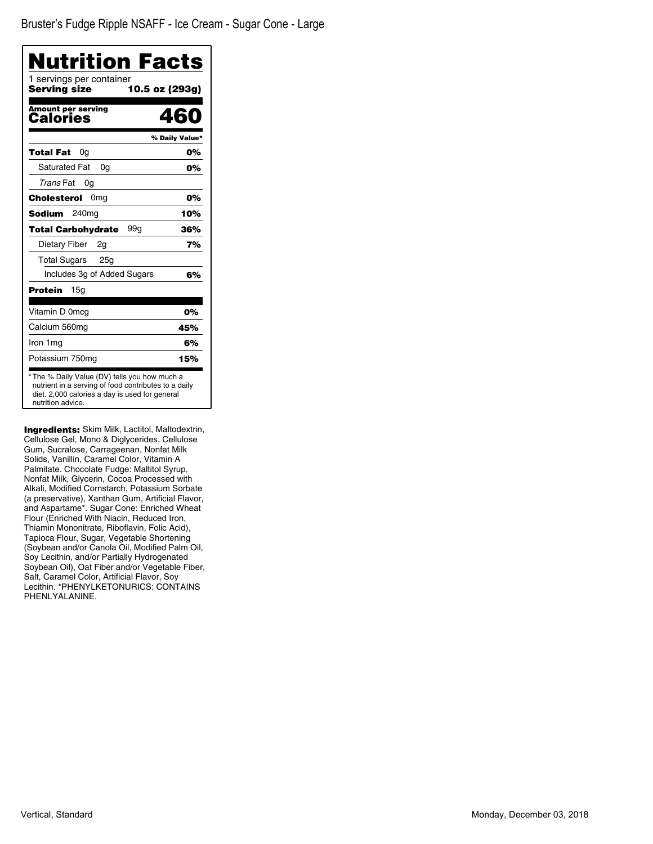| Nutrition Facts                                                                                                                                                              |                |
|------------------------------------------------------------------------------------------------------------------------------------------------------------------------------|----------------|
| 1 servings per container<br><b>Serving size</b><br>10.5 oz (293g)                                                                                                            |                |
| <b>Amount per serving</b><br>Calories                                                                                                                                        | 460            |
|                                                                                                                                                                              | % Daily Value* |
| Total Fat<br>0g                                                                                                                                                              | 0%             |
| <b>Saturated Fat</b><br>0a                                                                                                                                                   | 0%             |
| Trans Fat<br>0g                                                                                                                                                              |                |
| 0 <sub>mg</sub><br><b>Cholesterol</b>                                                                                                                                        | 0%             |
| <b>Sodium</b><br>240 <sub>mg</sub>                                                                                                                                           | 10%            |
| 99g<br><b>Total Carbohydrate</b>                                                                                                                                             | 36%            |
| Dietary Fiber<br>2q                                                                                                                                                          | 7%             |
| Total Sugars 25g                                                                                                                                                             |                |
| Includes 3g of Added Sugars                                                                                                                                                  | 6%             |
| <b>Protein</b><br>15 <sub>q</sub>                                                                                                                                            |                |
| Vitamin D 0mcg                                                                                                                                                               | 0%             |
| Calcium 560mg                                                                                                                                                                | 45%            |
| Iron 1 mg                                                                                                                                                                    | 6%             |
| Potassium 750mg                                                                                                                                                              | 15%            |
| * The % Daily Value (DV) tells you how much a<br>nutrient in a serving of food contributes to a daily<br>diet. 2,000 calories a day is used for general<br>nutrition advice. |                |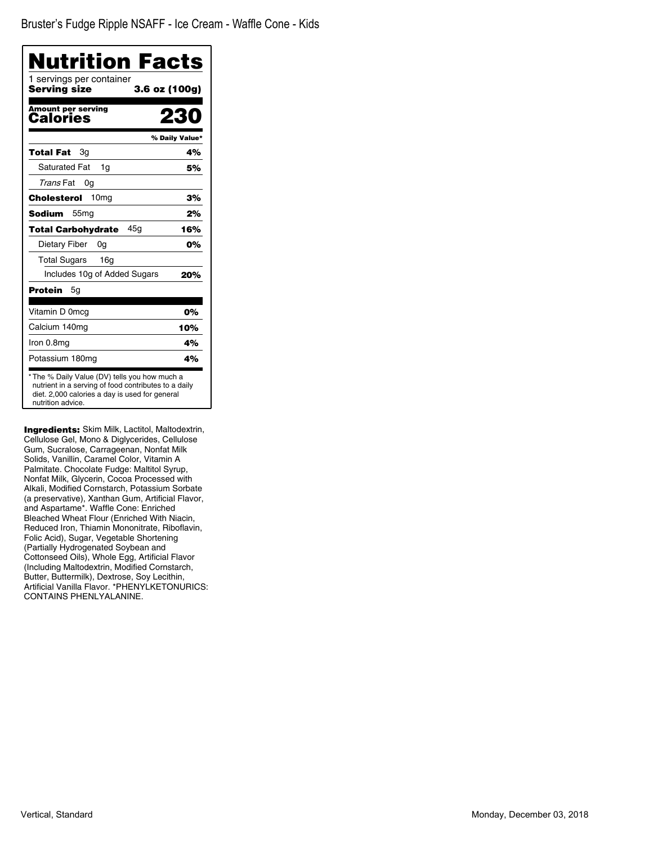| Nutrition Facts                                           |                |
|-----------------------------------------------------------|----------------|
| 1 servings per container<br>Serving size<br>3.6 oz (100g) |                |
| Amount per serving<br>Calories                            |                |
|                                                           | % Daily Value* |
| <b>Total Fat</b><br>Зq                                    | 4%             |
| <b>Saturated Fat</b><br>1g                                | 5%             |
| Trans Fat<br>0g                                           |                |
| 10 <sub>mg</sub><br>Cholesterol                           | 3%             |
| Sodium<br>55 <sub>mg</sub>                                | 2%             |
| 45a<br><b>Total Carbohydrate</b>                          | 16%            |
| Dietary Fiber<br>0a                                       | 0%             |
| <b>Total Sugars</b><br>16q                                |                |
| Includes 10g of Added Sugars                              | 20%            |
| Protein<br>5g                                             |                |
| Vitamin D 0mcg                                            | 0%             |
| Calcium 140mg                                             | 10%            |
| Iron 0.8mg                                                | 4%             |
| Potassium 180mg                                           | 4%             |

Ingredients: Skim Milk, Lactitol, Maltodextrin, Cellulose Gel, Mono & Diglycerides, Cellulose Gum, Sucralose, Carrageenan, Nonfat Milk Solids, Vanillin, Caramel Color, Vitamin A Palmitate. Chocolate Fudge: Maltitol Syrup, Nonfat Milk, Glycerin, Cocoa Processed with Alkali, Modified Cornstarch, Potassium Sorbate (a preservative), Xanthan Gum, Artificial Flavor, and Aspartame\*. Waffle Cone: Enriched Bleached Wheat Flour (Enriched With Niacin, Reduced Iron, Thiamin Mononitrate, Riboflavin, Folic Acid), Sugar, Vegetable Shortening (Partially Hydrogenated Soybean and Cottonseed Oils), Whole Egg, Artificial Flavor (Including Maltodextrin, Modified Cornstarch, Butter, Buttermilk), Dextrose, Soy Lecithin, Artificial Vanilla Flavor. \*PHENYLKETONURICS: CONTAINS PHENLYALANINE.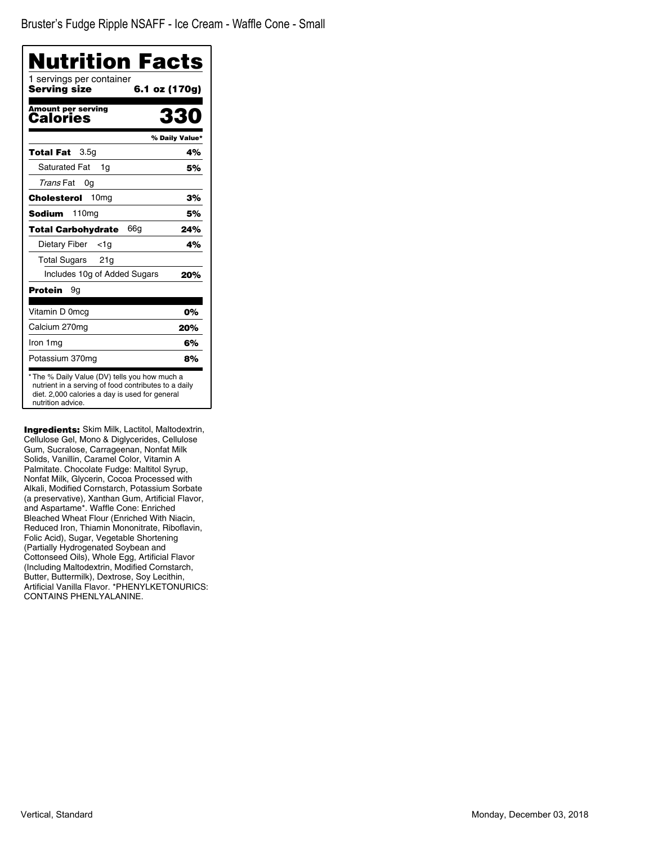| Nutrition Facts                          |                |
|------------------------------------------|----------------|
| 1 servings per container<br>Serving size | 6.1 oz (170g)  |
| <b>Amount per serving</b><br>Calories    | 330            |
|                                          | % Daily Value* |
| 3.5g<br>Total Fat                        | 4%             |
| <b>Saturated Fat</b><br>1q               | 5%             |
| Trans Fat<br>0g                          |                |
| 10 <sub>mg</sub><br>Cholesterol          | 3%             |
| <b>Sodium</b><br>110mg                   | 5%             |
| 66g<br><b>Total Carbohydrate</b>         | 24%            |
| Dietary Fiber<br>$<$ 1g                  | 4%             |
| <b>Total Sugars</b><br>21g               |                |
| Includes 10g of Added Sugars             | 20%            |
| Protein<br>9g                            |                |
| Vitamin D 0mcg                           | 0%             |
| Calcium 270mg                            | 20%            |
| Iron 1 mg                                | 6%             |
| Potassium 370mg                          | 8%             |

Ingredients: Skim Milk, Lactitol, Maltodextrin, Cellulose Gel, Mono & Diglycerides, Cellulose Gum, Sucralose, Carrageenan, Nonfat Milk Solids, Vanillin, Caramel Color, Vitamin A Palmitate. Chocolate Fudge: Maltitol Syrup, Nonfat Milk, Glycerin, Cocoa Processed with Alkali, Modified Cornstarch, Potassium Sorbate (a preservative), Xanthan Gum, Artificial Flavor, and Aspartame\*. Waffle Cone: Enriched Bleached Wheat Flour (Enriched With Niacin, Reduced Iron, Thiamin Mononitrate, Riboflavin, Folic Acid), Sugar, Vegetable Shortening (Partially Hydrogenated Soybean and Cottonseed Oils), Whole Egg, Artificial Flavor (Including Maltodextrin, Modified Cornstarch, Butter, Buttermilk), Dextrose, Soy Lecithin, Artificial Vanilla Flavor. \*PHENYLKETONURICS: CONTAINS PHENLYALANINE.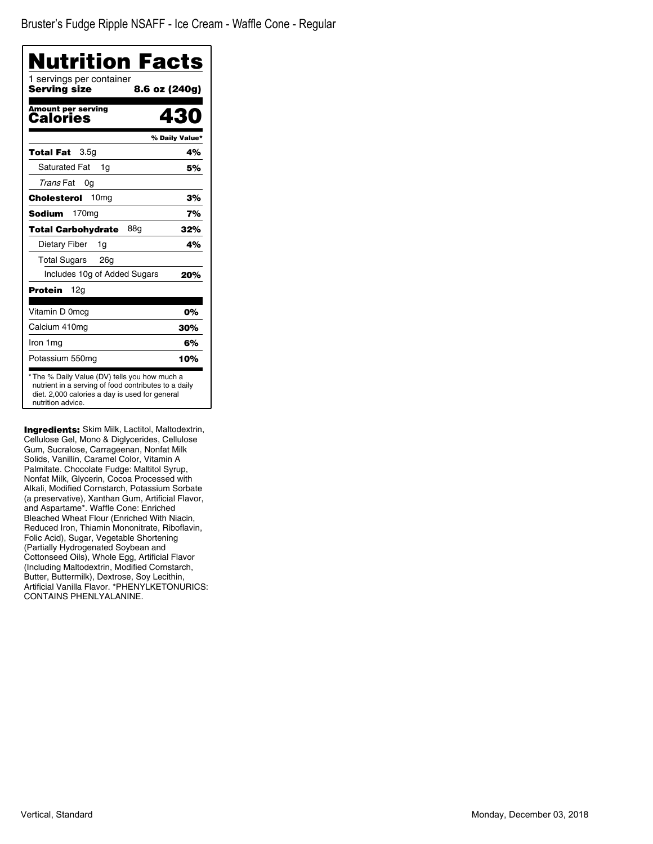| Nutrition Facts                          |                |
|------------------------------------------|----------------|
| 1 servings per container<br>Serving size | 8.6 oz (240g)  |
| <b>Amount per serving</b><br>Calories    | 430            |
|                                          | % Daily Value* |
| Total Fat<br>3.5 <sub>q</sub>            | 4%             |
| Saturated Fat<br>1q                      | 5%             |
| Trans Fat<br>0g                          |                |
| 10 <sub>mq</sub><br>Cholesterol          | 3%             |
| <b>Sodium</b><br>170 <sub>mg</sub>       | 7%             |
| 88g<br><b>Total Carbohydrate</b>         | 32%            |
| Dietary Fiber<br>1g                      | 4%             |
| <b>Total Sugars</b><br>26g               |                |
| Includes 10g of Added Sugars             | 20%            |
| Protein<br>12g                           |                |
| Vitamin D 0mcg                           | 0%             |
| Calcium 410mg                            | 30%            |
| Iron 1 mg                                | 6%             |
| Potassium 550mg                          | 10%            |

Ingredients: Skim Milk, Lactitol, Maltodextrin, Cellulose Gel, Mono & Diglycerides, Cellulose Gum, Sucralose, Carrageenan, Nonfat Milk Solids, Vanillin, Caramel Color, Vitamin A Palmitate. Chocolate Fudge: Maltitol Syrup, Nonfat Milk, Glycerin, Cocoa Processed with Alkali, Modified Cornstarch, Potassium Sorbate (a preservative), Xanthan Gum, Artificial Flavor, and Aspartame\*. Waffle Cone: Enriched Bleached Wheat Flour (Enriched With Niacin, Reduced Iron, Thiamin Mononitrate, Riboflavin, Folic Acid), Sugar, Vegetable Shortening (Partially Hydrogenated Soybean and Cottonseed Oils), Whole Egg, Artificial Flavor (Including Maltodextrin, Modified Cornstarch, Butter, Buttermilk), Dextrose, Soy Lecithin, Artificial Vanilla Flavor. \*PHENYLKETONURICS: CONTAINS PHENLYALANINE.